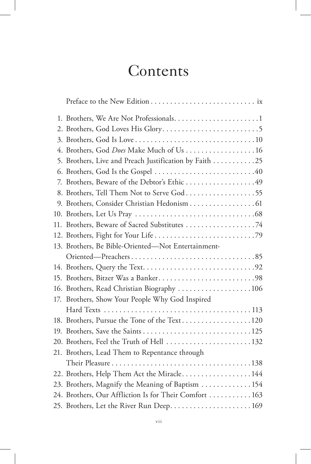# Contents

|     | 4. Brothers, God Does Make Much of Us  16              |
|-----|--------------------------------------------------------|
|     | 5. Brothers, Live and Preach Justification by Faith 25 |
|     | 6. Brothers, God Is the Gospel 40                      |
|     |                                                        |
|     | 8. Brothers, Tell Them Not to Serve God55              |
|     | 9. Brothers, Consider Christian Hedonism 61            |
|     |                                                        |
|     |                                                        |
|     |                                                        |
|     | 13. Brothers, Be Bible-Oriented-Not Entertainment-     |
|     |                                                        |
|     |                                                        |
|     | 15. Brothers, Bitzer Was a Banker98                    |
|     | 16. Brothers, Read Christian Biography 106             |
|     | 17. Brothers, Show Your People Why God Inspired        |
|     |                                                        |
|     | 18. Brothers, Pursue the Tone of the Text120           |
|     |                                                        |
|     | 20. Brothers, Feel the Truth of Hell 132               |
| 21. | Brothers, Lead Them to Repentance through              |
|     |                                                        |
|     | 22. Brothers, Help Them Act the Miracle144             |
|     | 23. Brothers, Magnify the Meaning of Baptism 154       |
|     | 24. Brothers, Our Affliction Is for Their Comfort  163 |
|     |                                                        |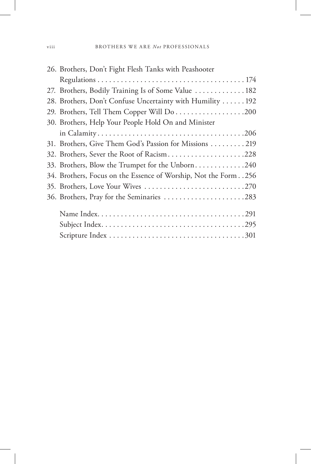| 26. Brothers, Don't Fight Flesh Tanks with Peashooter              |
|--------------------------------------------------------------------|
|                                                                    |
| 27. Brothers, Bodily Training Is of Some Value  182                |
| 28. Brothers, Don't Confuse Uncertainty with Humility 192          |
|                                                                    |
| 30. Brothers, Help Your People Hold On and Minister                |
|                                                                    |
| 31. Brothers, Give Them God's Passion for Missions 219             |
| 32. Brothers, Sever the Root of Racism228                          |
| 33. Brothers, Blow the Trumpet for the Unborn240                   |
| 34. Brothers, Focus on the Essence of Worship, Not the Form. . 256 |
|                                                                    |
| 36. Brothers, Pray for the Seminaries 283                          |
|                                                                    |
|                                                                    |
|                                                                    |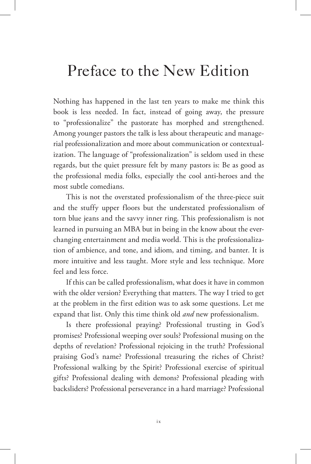## Preface to the New Edition

Nothing has happened in the last ten years to make me think this book is less needed. In fact, instead of going away, the pressure to "professionalize" the pastorate has morphed and strengthened. Among younger pastors the talk is less about therapeutic and managerial professionalization and more about communication or contextualization. The language of "professionalization" is seldom used in these regards, but the quiet pressure felt by many pastors is: Be as good as the professional media folks, especially the cool anti-heroes and the most subtle comedians.

This is not the overstated professionalism of the three-piece suit and the stuffy upper floors but the understated professionalism of torn blue jeans and the savvy inner ring. This professionalism is not learned in pursuing an MBA but in being in the know about the everchanging entertainment and media world. This is the professionalization of ambience, and tone, and idiom, and timing, and banter. It is more intuitive and less taught. More style and less technique. More feel and less force.

If this can be called professionalism, what does it have in common with the older version? Everything that matters. The way I tried to get at the problem in the first edition was to ask some questions. Let me expand that list. Only this time think old *and* new professionalism.

Is there professional praying? Professional trusting in God's promises? Professional weeping over souls? Professional musing on the depths of revelation? Professional rejoicing in the truth? Professional praising God's name? Professional treasuring the riches of Christ? Professional walking by the Spirit? Professional exercise of spiritual gifts? Professional dealing with demons? Professional pleading with backsliders? Professional perseverance in a hard marriage? Professional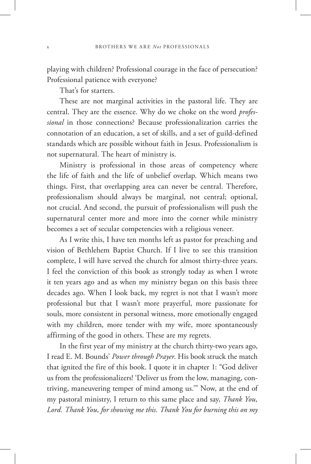playing with children? Professional courage in the face of persecution? Professional patience with everyone?

That's for starters.

These are not marginal activities in the pastoral life. They are central. They are the essence. Why do we choke on the word *professional* in those connections? Because professionalization carries the connotation of an education, a set of skills, and a set of guild-defined standards which are possible without faith in Jesus. Professionalism is not supernatural. The heart of ministry is.

Ministry is professional in those areas of competency where the life of faith and the life of unbelief overlap. Which means two things. First, that overlapping area can never be central. Therefore, professionalism should always be marginal, not central; optional, not crucial. And second, the pursuit of professionalism will push the supernatural center more and more into the corner while ministry becomes a set of secular competencies with a religious veneer.

As I write this, I have ten months left as pastor for preaching and vision of Bethlehem Baptist Church. If I live to see this transition complete, I will have served the church for almost thirty-three years. I feel the conviction of this book as strongly today as when I wrote it ten years ago and as when my ministry began on this basis three decades ago. When I look back, my regret is not that I wasn't more professional but that I wasn't more prayerful, more passionate for souls, more consistent in personal witness, more emotionally engaged with my children, more tender with my wife, more spontaneously affirming of the good in others. These are my regrets.

In the first year of my ministry at the church thirty-two years ago, I read E. M. Bounds' *Power through Prayer*. His book struck the match that ignited the fire of this book. I quote it in chapter 1: "God deliver us from the professionalizers! 'Deliver us from the low, managing, contriving, maneuvering temper of mind among us.'" Now, at the end of my pastoral ministry, I return to this same place and say, *Thank You, Lord. Thank You, for showing me this. Thank You for burning this on my*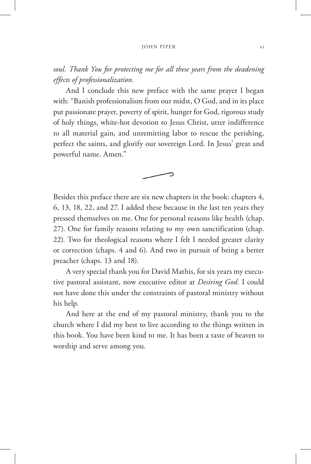### **JOHN PIPER** xi

*soul. Thank You for protecting me for all these years from the deadening effects of professionalization*.

And I conclude this new preface with the same prayer I began with: "Banish professionalism from our midst, O God, and in its place put passionate prayer, poverty of spirit, hunger for God, rigorous study of holy things, white-hot devotion to Jesus Christ, utter indifference to all material gain, and unremitting labor to rescue the perishing, perfect the saints, and glorify our sovereign Lord. In Jesus' great and powerful name. Amen."



Besides this preface there are six new chapters in the book: chapters 4, 6, 13, 18, 22, and 27. I added these because in the last ten years they pressed themselves on me. One for personal reasons like health (chap. 27). One for family reasons relating to my own sanctification (chap. 22). Two for theological reasons where I felt I needed greater clarity or correction (chaps. 4 and 6). And two in pursuit of being a better preacher (chaps. 13 and 18).

A very special thank you for David Mathis, for six years my executive pastoral assistant, now executive editor at *Desiring God*. I could not have done this under the constraints of pastoral ministry without his help.

And here at the end of my pastoral ministry, thank you to the church where I did my best to live according to the things written in this book. You have been kind to me. It has been a taste of heaven to worship and serve among you.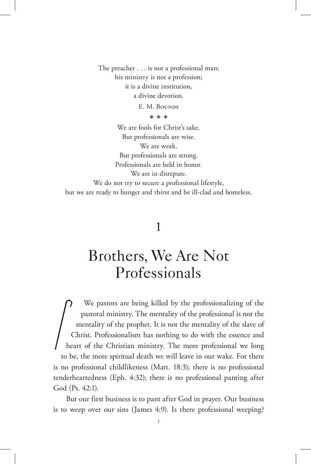The preacher . . . is not a professional man; his ministry is not a profession; it is a divine institution, a divine devotion.

E. M. Bounds

✦ ✦ ✦

We are fools for Christ's sake. But professionals are wise. We are weak. But professionals are strong. Professionals are held in honor. We are in disrepute. We do not try to secure a professional lifestyle, but we are ready to hunger and thirst and be ill-clad and homeless.

### 1

## Brothers, We Are Not Professionals

We pastors are being killed by the professionalizing of the pastoral ministry. The mentality of the professional is not the mentality of the prophet. It is not the mentality of the slave of Christ. Professionalism has nothing to do with the essence and heart of the Christian ministry. The more professional we long to be, the more spiritual death we will leave in our wake. For there is no professional childlikeness (Matt. 18:3); there is no professional tenderheartedness (Eph. 4:32); there is no professional panting after God (Ps. 42:1).

But our first business is to pant after God in prayer. Our business is to weep over our sins (James 4:9). Is there professional weeping?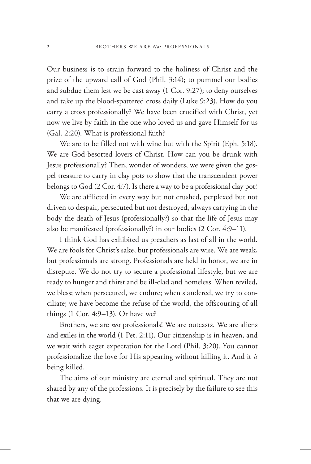Our business is to strain forward to the holiness of Christ and the prize of the upward call of God (Phil. 3:14); to pummel our bodies and subdue them lest we be cast away (1 Cor. 9:27); to deny ourselves and take up the blood-spattered cross daily (Luke 9:23). How do you carry a cross professionally? We have been crucified with Christ, yet now we live by faith in the one who loved us and gave Himself for us (Gal. 2:20). What is professional faith?

We are to be filled not with wine but with the Spirit (Eph. 5:18). We are God-besotted lovers of Christ. How can you be drunk with Jesus professionally? Then, wonder of wonders, we were given the gospel treasure to carry in clay pots to show that the transcendent power belongs to God (2 Cor. 4:7). Is there a way to be a professional clay pot?

We are afflicted in every way but not crushed, perplexed but not driven to despair, persecuted but not destroyed, always carrying in the body the death of Jesus (professionally?) so that the life of Jesus may also be manifested (professionally?) in our bodies (2 Cor. 4:9–11).

I think God has exhibited us preachers as last of all in the world. We are fools for Christ's sake, but professionals are wise. We are weak, but professionals are strong. Professionals are held in honor, we are in disrepute. We do not try to secure a professional lifestyle, but we are ready to hunger and thirst and be ill-clad and homeless. When reviled, we bless; when persecuted, we endure; when slandered, we try to conciliate; we have become the refuse of the world, the offscouring of all things (1 Cor. 4:9–13). Or have we?

Brothers, we are *not* professionals! We are outcasts. We are aliens and exiles in the world (1 Pet. 2:11). Our citizenship is in heaven, and we wait with eager expectation for the Lord (Phil. 3:20). You cannot professionalize the love for His appearing without killing it. And it *is* being killed.

The aims of our ministry are eternal and spiritual. They are not shared by any of the professions. It is precisely by the failure to see this that we are dying.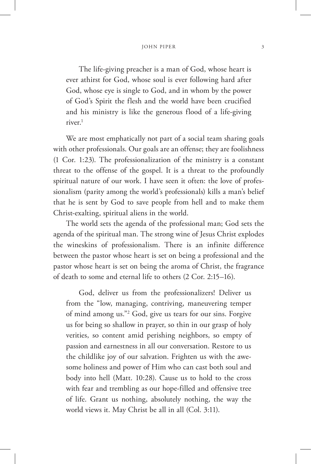#### JOHN PIPER 3

The life-giving preacher is a man of God, whose heart is ever athirst for God, whose soul is ever following hard after God, whose eye is single to God, and in whom by the power of God's Spirit the flesh and the world have been crucified and his ministry is like the generous flood of a life-giving river.<sup>1</sup>

We are most emphatically not part of a social team sharing goals with other professionals. Our goals are an offense; they are foolishness (1 Cor. 1:23). The professionalization of the ministry is a constant threat to the offense of the gospel. It is a threat to the profoundly spiritual nature of our work. I have seen it often: the love of professionalism (parity among the world's professionals) kills a man's belief that he is sent by God to save people from hell and to make them Christ-exalting, spiritual aliens in the world.

The world sets the agenda of the professional man; God sets the agenda of the spiritual man. The strong wine of Jesus Christ explodes the wineskins of professionalism. There is an infinite difference between the pastor whose heart is set on being a professional and the pastor whose heart is set on being the aroma of Christ, the fragrance of death to some and eternal life to others (2 Cor. 2:15–16).

God, deliver us from the professionalizers! Deliver us from the "low, managing, contriving, maneuvering temper of mind among us."2 God, give us tears for our sins. Forgive us for being so shallow in prayer, so thin in our grasp of holy verities, so content amid perishing neighbors, so empty of passion and earnestness in all our conversation. Restore to us the childlike joy of our salvation. Frighten us with the awesome holiness and power of Him who can cast both soul and body into hell (Matt. 10:28). Cause us to hold to the cross with fear and trembling as our hope-filled and offensive tree of life. Grant us nothing, absolutely nothing, the way the world views it. May Christ be all in all (Col. 3:11).